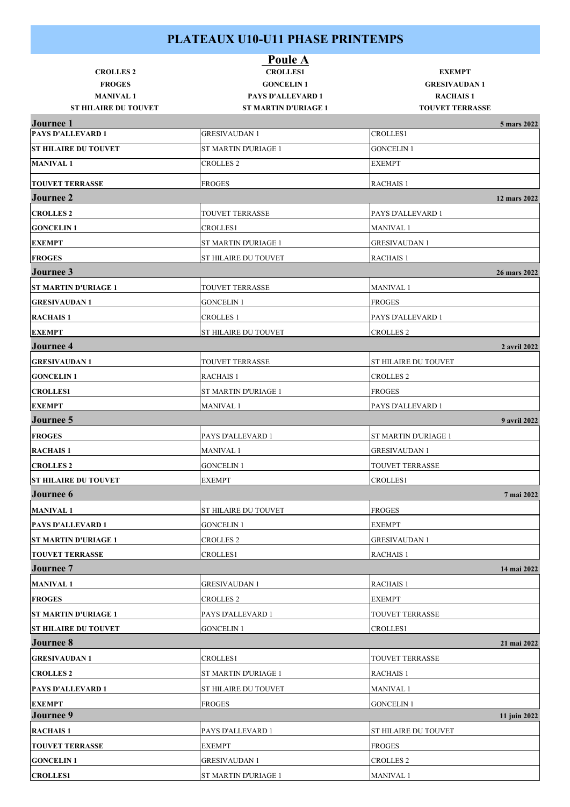|                                              | <b>Poule A</b>              |                             |              |
|----------------------------------------------|-----------------------------|-----------------------------|--------------|
| <b>CROLLES 2</b>                             | <b>CROLLES1</b>             | <b>EXEMPT</b>               |              |
| <b>FROGES</b>                                | <b>GONCELIN1</b>            | <b>GRESIVAUDAN1</b>         |              |
| <b>MANIVAL1</b>                              | <b>PAYS D'ALLEVARD 1</b>    | <b>RACHAIS1</b>             |              |
| <b>ST HILAIRE DU TOUVET</b>                  | <b>ST MARTIN D'URIAGE 1</b> | <b>TOUVET TERRASSE</b>      |              |
| <b>Journee 1</b><br><b>PAYS D'ALLEVARD 1</b> | <b>GRESIVAUDAN1</b>         | <b>CROLLES1</b>             | 5 mars 2022  |
|                                              |                             |                             |              |
| <b>ST HILAIRE DU TOUVET</b>                  | <b>ST MARTIN D'URIAGE 1</b> | <b>GONCELIN 1</b>           |              |
| <b>MANIVAL1</b>                              | <b>CROLLES 2</b>            | <b>EXEMPT</b>               |              |
| <b>TOUVET TERRASSE</b>                       | <b>FROGES</b>               | <b>RACHAIS 1</b>            |              |
| <b>Journee 2</b>                             |                             |                             | 12 mars 2022 |
| <b>CROLLES 2</b>                             | TOUVET TERRASSE             | PAYS D'ALLEVARD 1           |              |
| <b>GONCELIN1</b>                             | CROLLES1                    | <b>MANIVAL1</b>             |              |
| <b>EXEMPT</b>                                | <b>ST MARTIN D'URIAGE 1</b> | <b>GRESIVAUDAN1</b>         |              |
| <b>FROGES</b>                                | <b>ST HILAIRE DU TOUVET</b> | <b>RACHAIS 1</b>            |              |
| <b>Journee 3</b>                             |                             |                             | 26 mars 2022 |
| <b>ST MARTIN D'URIAGE 1</b>                  | <b>TOUVET TERRASSE</b>      | <b>MANIVAL1</b>             |              |
| <b>GRESIVAUDAN1</b>                          | <b>GONCELIN 1</b>           | <b>FROGES</b>               |              |
|                                              |                             | PAYS D'ALLEVARD 1           |              |
| <b>RACHAIS 1</b>                             | <b>CROLLES 1</b>            |                             |              |
| <b>EXEMPT</b>                                | <b>ST HILAIRE DU TOUVET</b> | <b>CROLLES 2</b>            |              |
| <b>Journee 4</b>                             |                             |                             | 2 avril 2022 |
| <b>GRESIVAUDAN1</b>                          | <b>TOUVET TERRASSE</b>      | <b>ST HILAIRE DU TOUVET</b> |              |
| <b>GONCELIN1</b>                             | RACHAIS <sub>1</sub>        | <b>CROLLES 2</b>            |              |
| <b>CROLLES1</b>                              | ST MARTIN D'URIAGE 1        | <b>FROGES</b>               |              |
| <b>EXEMPT</b>                                | <b>MANIVAL1</b>             | PAYS D'ALLEVARD 1           |              |
| <b>Journee 5</b>                             |                             |                             | 9 avril 2022 |
| <b>FROGES</b>                                | PAYS D'ALLEVARD 1           | ST MARTIN D'URIAGE 1        |              |
| <b>RACHAIS 1</b>                             | <b>MANIVAL 1</b>            | <b>GRESIVAUDAN1</b>         |              |
| <b>CROLLES 2</b>                             | <b>GONCELIN1</b>            | TOUVET TERRASSE             |              |
| <b>ST HILAIRE DU TOUVET</b>                  | <b>EXEMPT</b>               | <b>CROLLES1</b>             |              |
| Journee 6                                    |                             |                             | 7 mai 2022   |
| <b>MANIVAL1</b>                              | <b>ST HILAIRE DU TOUVET</b> | <b>FROGES</b>               |              |
| PAYS D'ALLEVARD 1                            | <b>GONCELIN1</b>            | <b>EXEMPT</b>               |              |
| <b>ST MARTIN D'URIAGE 1</b>                  | <b>CROLLES 2</b>            | <b>GRESIVAUDAN1</b>         |              |
| <b>TOUVET TERRASSE</b>                       | <b>CROLLES1</b>             | <b>RACHAIS 1</b>            |              |
| <b>Journee</b> 7                             |                             |                             | 14 mai 2022  |
| <b>MANIVAL1</b>                              | <b>GRESIVAUDAN1</b>         | <b>RACHAIS 1</b>            |              |
| <b>FROGES</b>                                | <b>CROLLES 2</b>            | <b>EXEMPT</b>               |              |
| ST MARTIN D'URIAGE 1                         | PAYS D'ALLEVARD 1           | TOUVET TERRASSE             |              |
| <b>ST HILAIRE DU TOUVET</b>                  | <b>GONCELIN 1</b>           | <b>CROLLES1</b>             |              |
| <b>Journee 8</b>                             |                             |                             | 21 mai 2022  |
|                                              |                             |                             |              |
| <b>GRESIVAUDAN1</b>                          | CROLLES1                    | TOUVET TERRASSE             |              |
| <b>CROLLES 2</b>                             | <b>ST MARTIN D'URIAGE 1</b> | <b>RACHAIS 1</b>            |              |
| <b>PAYS D'ALLEVARD 1</b>                     | <b>ST HILAIRE DU TOUVET</b> | <b>MANIVAL1</b>             |              |
| <b>EXEMPT</b>                                | <b>FROGES</b>               | <b>GONCELIN 1</b>           |              |
| Journee 9                                    |                             |                             | 11 juin 2022 |
| <b>RACHAIS1</b>                              | PAYS D'ALLEVARD 1           | ST HILAIRE DU TOUVET        |              |
| <b>TOUVET TERRASSE</b>                       | <b>EXEMPT</b>               | <b>FROGES</b>               |              |
| <b>GONCELIN1</b>                             | <b>GRESIVAUDAN1</b>         | <b>CROLLES 2</b>            |              |
| <b>CROLLES1</b>                              | ST MARTIN D'URIAGE 1        | <b>MANIVAL 1</b>            |              |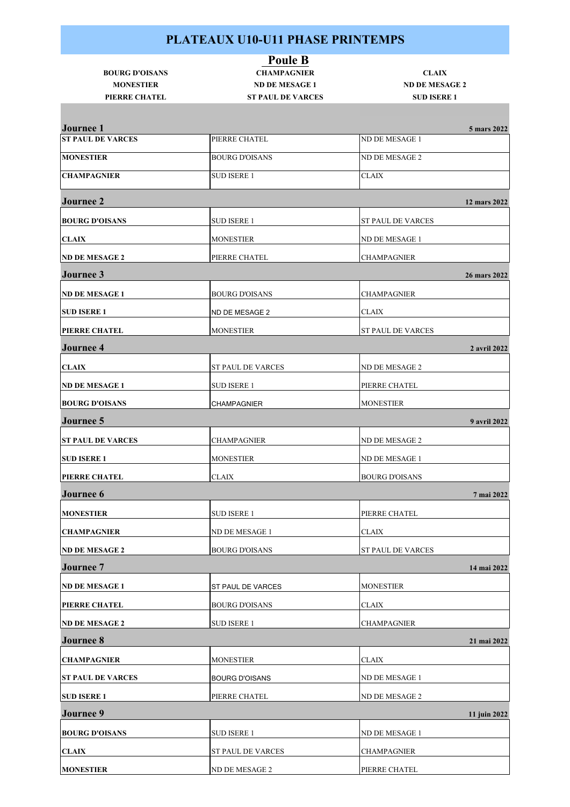| <b>BOURG D'OISANS</b><br><b>MONESTIER</b> | <b>Poule B</b><br><b>CHAMPAGNIER</b><br><b>ND DE MESAGE 1</b> | <b>CLAIX</b><br><b>ND DE MESAGE 2</b> |
|-------------------------------------------|---------------------------------------------------------------|---------------------------------------|
| PIERRE CHATEL                             | <b>ST PAUL DE VARCES</b>                                      | <b>SUD ISERE 1</b>                    |
| <b>Journee 1</b>                          |                                                               | 5 mars 2022                           |
| <b>ST PAUL DE VARCES</b>                  | PIERRE CHATEL                                                 | ND DE MESAGE 1                        |
| <b>MONESTIER</b>                          | <b>BOURG D'OISANS</b>                                         | ND DE MESAGE 2                        |
| <b>CHAMPAGNIER</b>                        | SUD ISERE 1                                                   | <b>CLAIX</b>                          |
| <b>Journee 2</b>                          |                                                               | 12 mars 2022                          |
| <b>BOURG D'OISANS</b>                     | SUD ISERE 1                                                   | ST PAUL DE VARCES                     |
| <b>CLAIX</b>                              | <b>MONESTIER</b>                                              | ND DE MESAGE 1                        |
| <b>ND DE MESAGE 2</b>                     | PIERRE CHATEL                                                 | <b>CHAMPAGNIER</b>                    |
| <b>Journee 3</b>                          |                                                               | 26 mars 2022                          |
| <b>ND DE MESAGE 1</b>                     | <b>BOURG D'OISANS</b>                                         | CHAMPAGNIER                           |
| <b>SUD ISERE 1</b>                        | ND DE MESAGE 2                                                | CLAIX                                 |
| <b>PIERRE CHATEL</b>                      | <b>MONESTIER</b>                                              | <b>ST PAUL DE VARCES</b>              |
| <b>Journee 4</b>                          |                                                               | 2 avril 2022                          |
| <b>CLAIX</b>                              | ST PAUL DE VARCES                                             | ND DE MESAGE 2                        |
| <b>ND DE MESAGE 1</b>                     | SUD ISERE 1                                                   | PIERRE CHATEL                         |
| <b>BOURG D'OISANS</b>                     | <b>CHAMPAGNIER</b>                                            | <b>MONESTIER</b>                      |
| <b>Journee 5</b>                          |                                                               | 9 avril 2022                          |
| <b>ST PAUL DE VARCES</b>                  | <b>CHAMPAGNIER</b>                                            | ND DE MESAGE 2                        |
| <b>SUD ISERE 1</b>                        | <b>MONESTIER</b>                                              | ND DE MESAGE 1                        |
| PIERRE CHATEL                             | <b>CLAIX</b>                                                  | <b>BOURG D'OISANS</b>                 |
| <b>Journee 6</b>                          |                                                               | 7 mai 2022                            |
| <b>MONESTIER</b>                          | SUD ISERE 1                                                   | PIERRE CHATEL                         |
| <b>CHAMPAGNIER</b>                        | ND DE MESAGE 1                                                | <b>CLAIX</b>                          |
| <b>ND DE MESAGE 2</b>                     | <b>BOURG D'OISANS</b>                                         | <b>ST PAUL DE VARCES</b>              |
| <b>Journee 7</b>                          |                                                               | 14 mai 2022                           |
| <b>ND DE MESAGE 1</b>                     | ST PAUL DE VARCES                                             | <b>MONESTIER</b>                      |
| PIERRE CHATEL                             | BOURG D'OISANS                                                | CLAIX                                 |
| <b>ND DE MESAGE 2</b>                     | <b>SUD ISERE 1</b>                                            | CHAMPAGNIER                           |
| <b>Journee 8</b>                          |                                                               | 21 mai 2022                           |
| <b>CHAMPAGNIER</b>                        | <b>MONESTIER</b>                                              | <b>CLAIX</b>                          |
| <b>ST PAUL DE VARCES</b>                  | BOURG D'OISANS                                                | ND DE MESAGE 1                        |
| <b>SUD ISERE 1</b>                        | PIERRE CHATEL                                                 | ND DE MESAGE 2                        |
| <b>Journee 9</b>                          |                                                               | 11 juin 2022                          |
| <b>BOURG D'OISANS</b>                     | SUD ISERE 1                                                   | ND DE MESAGE 1                        |
| <b>CLAIX</b>                              | ST PAUL DE VARCES                                             | CHAMPAGNIER                           |

**MONESTIER** ND DE MESAGE 2 PIERRE CHATEL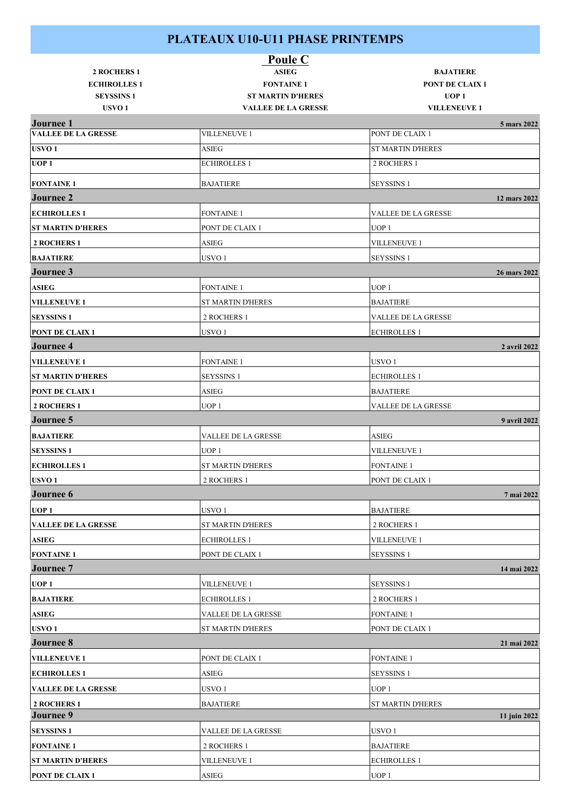|                                                | <b>Poule C</b>                                         |                                         |
|------------------------------------------------|--------------------------------------------------------|-----------------------------------------|
| <b>2 ROCHERS 1</b>                             | <b>ASIEG</b>                                           | <b>BAJATIERE</b>                        |
| <b>ECHIROLLES1</b>                             | <b>FONTAINE 1</b>                                      | <b>PONT DE CLAIX 1</b>                  |
| <b>SEYSSINS 1</b><br>USVO <sub>1</sub>         | <b>ST MARTIN D'HERES</b><br><b>VALLEE DE LA GRESSE</b> | UOP <sub>1</sub><br><b>VILLENEUVE 1</b> |
|                                                |                                                        |                                         |
| <b>Journee 1</b><br><b>VALLEE DE LA GRESSE</b> | <b>VILLENEUVE 1</b>                                    | 5 mars 2022<br>PONT DE CLAIX 1          |
| USVO <sub>1</sub>                              | ASIEG                                                  | <b>ST MARTIN D'HERES</b>                |
| UOP <sub>1</sub>                               | <b>ECHIROLLES 1</b>                                    | 2 ROCHERS 1                             |
|                                                |                                                        |                                         |
| <b>FONTAINE 1</b>                              | <b>BAJATIERE</b>                                       | <b>SEYSSINS 1</b>                       |
| <b>Journee 2</b>                               |                                                        | 12 mars 2022                            |
| <b>ECHIROLLES 1</b>                            | <b>FONTAINE 1</b>                                      | VALLEE DE LA GRESSE                     |
| <b>ST MARTIN D'HERES</b>                       | PONT DE CLAIX 1                                        | UOP <sub>1</sub>                        |
| 2 ROCHERS 1                                    | ASIEG                                                  | <b>VILLENEUVE 1</b>                     |
| <b>BAJATIERE</b>                               | USVO <sub>1</sub>                                      | <b>SEYSSINS 1</b>                       |
| Journee 3                                      |                                                        | 26 mars 2022                            |
| <b>ASIEG</b>                                   | <b>FONTAINE 1</b>                                      | UOP <sub>1</sub>                        |
| <b>VILLENEUVE 1</b>                            | ST MARTIN D'HERES                                      | <b>BAJATIERE</b>                        |
| <b>SEYSSINS 1</b>                              | 2 ROCHERS 1                                            | VALLEE DE LA GRESSE                     |
| <b>PONT DE CLAIX1</b>                          | USVO <sub>1</sub>                                      | <b>ECHIROLLES 1</b>                     |
| <b>Journee 4</b>                               |                                                        | 2 avril 2022                            |
| <b>VILLENEUVE 1</b>                            | <b>FONTAINE 1</b>                                      | USVO <sub>1</sub>                       |
| <b>ST MARTIN D'HERES</b>                       | <b>SEYSSINS 1</b>                                      | <b>ECHIROLLES 1</b>                     |
| <b>PONT DE CLAIX1</b>                          | ASIEG                                                  | <b>BAJATIERE</b>                        |
| <b>2 ROCHERS 1</b>                             | UOP <sub>1</sub>                                       | VALLEE DE LA GRESSE                     |
| <b>Journee 5</b>                               |                                                        | 9 avril 2022                            |
| <b>BAJATIERE</b>                               | VALLEE DE LA GRESSE                                    | ASIEG                                   |
| <b>SEYSSINS 1</b>                              | UOP <sub>1</sub>                                       | <b>VILLENEUVE 1</b>                     |
| <b>ECHIROLLES 1</b>                            | ST MARTIN D'HERES                                      | <b>FONTAINE 1</b>                       |
| USVO <sub>1</sub>                              | 2 ROCHERS 1                                            | PONT DE CLAIX 1                         |
| Journee 6                                      |                                                        | 7 mai 2022                              |
| UOP <sub>1</sub>                               | USVO <sub>1</sub>                                      | <b>BAJATIERE</b>                        |
| <b>VALLEE DE LA GRESSE</b>                     | ST MARTIN D'HERES                                      | 2 ROCHERS 1                             |
| <b>ASIEG</b>                                   | <b>ECHIROLLES 1</b>                                    | <b>VILLENEUVE 1</b>                     |
| <b>FONTAINE 1</b>                              | PONT DE CLAIX 1                                        | <b>SEYSSINS 1</b>                       |
| <b>Journee</b> 7                               |                                                        | 14 mai 2022                             |
|                                                |                                                        |                                         |
| UOP <sub>1</sub>                               | <b>VILLENEUVE 1</b>                                    | <b>SEYSSINS 1</b>                       |
| <b>BAJATIERE</b>                               | <b>ECHIROLLES 1</b>                                    | 2 ROCHERS 1                             |
| <b>ASIEG</b>                                   | VALLEE DE LA GRESSE                                    | <b>FONTAINE 1</b>                       |
| USVO <sub>1</sub>                              | <b>ST MARTIN D'HERES</b>                               | PONT DE CLAIX 1                         |
| <b>Journee 8</b>                               |                                                        | 21 mai 2022                             |
| <b>VILLENEUVE 1</b>                            | PONT DE CLAIX 1                                        | <b>FONTAINE 1</b>                       |
| <b>ECHIROLLES 1</b>                            | ASIEG                                                  | <b>SEYSSINS 1</b>                       |
| <b>VALLEE DE LA GRESSE</b>                     | USVO 1                                                 | UOP <sub>1</sub>                        |
| 2 ROCHERS 1                                    | <b>BAJATIERE</b>                                       | <b>ST MARTIN D'HERES</b>                |
| <b>Journee 9</b>                               |                                                        | 11 juin 2022                            |
| <b>SEYSSINS 1</b>                              | VALLEE DE LA GRESSE                                    | USVO <sub>1</sub>                       |
| <b>FONTAINE 1</b>                              | 2 ROCHERS 1                                            | <b>BAJATIERE</b>                        |
| <b>ST MARTIN D'HERES</b>                       | <b>VILLENEUVE 1</b>                                    | <b>ECHIROLLES 1</b>                     |
| <b>PONT DE CLAIX 1</b>                         | ${\rm ASIEG}$                                          | UOP <sub>1</sub>                        |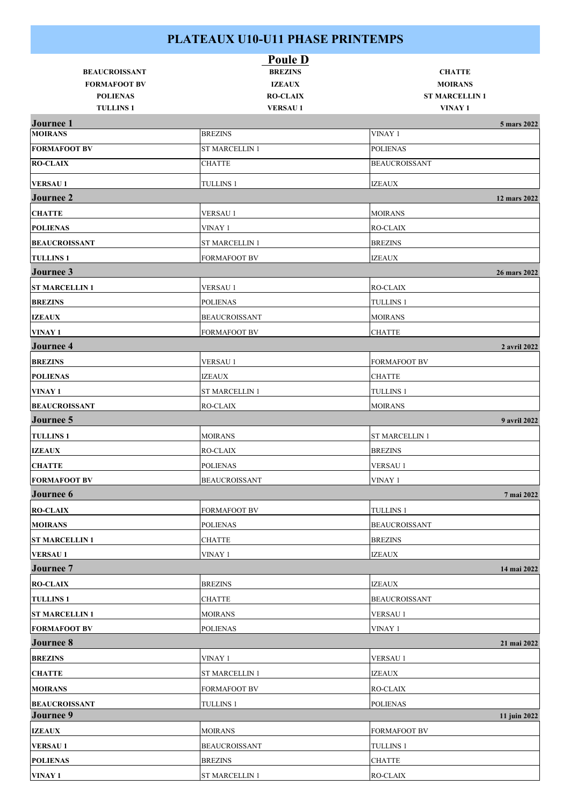|                                    |                       | <b>Poule D</b>  |                       |              |
|------------------------------------|-----------------------|-----------------|-----------------------|--------------|
| <b>BEAUCROISSANT</b>               |                       | <b>BREZINS</b>  | <b>CHATTE</b>         |              |
| <b>FORMAFOOT BV</b>                |                       | <b>IZEAUX</b>   | <b>MOIRANS</b>        |              |
| <b>POLIENAS</b>                    |                       | <b>RO-CLAIX</b> | <b>ST MARCELLIN1</b>  |              |
| <b>TULLINS1</b>                    |                       | <b>VERSAU1</b>  | VINAY 1               |              |
| <b>Journee 1</b><br><b>MOIRANS</b> | <b>BREZINS</b>        |                 | VINAY 1               | 5 mars 2022  |
| <b>FORMAFOOT BV</b>                | <b>ST MARCELLIN 1</b> |                 | <b>POLIENAS</b>       |              |
| <b>RO-CLAIX</b>                    | <b>CHATTE</b>         |                 | <b>BEAUCROISSANT</b>  |              |
|                                    |                       |                 |                       |              |
| <b>VERSAU1</b>                     | <b>TULLINS 1</b>      |                 | <b>IZEAUX</b>         |              |
| <b>Journee 2</b>                   |                       |                 |                       | 12 mars 2022 |
| <b>CHATTE</b>                      | <b>VERSAU1</b>        |                 | <b>MOIRANS</b>        |              |
| <b>POLIENAS</b>                    | VINAY 1               |                 | RO-CLAIX              |              |
| <b>BEAUCROISSANT</b>               | <b>ST MARCELLIN 1</b> |                 | <b>BREZINS</b>        |              |
| <b>TULLINS1</b>                    | <b>FORMAFOOT BV</b>   |                 | <b>IZEAUX</b>         |              |
| Journee 3                          |                       |                 |                       | 26 mars 2022 |
| <b>ST MARCELLIN1</b>               | <b>VERSAU1</b>        |                 | RO-CLAIX              |              |
| <b>BREZINS</b>                     | POLIENAS              |                 | <b>TULLINS 1</b>      |              |
| <b>IZEAUX</b>                      | <b>BEAUCROISSANT</b>  |                 | <b>MOIRANS</b>        |              |
| VINAY 1                            | <b>FORMAFOOT BV</b>   |                 | <b>CHATTE</b>         |              |
| <b>Journee 4</b>                   |                       |                 |                       | 2 avril 2022 |
| <b>BREZINS</b>                     | <b>VERSAU1</b>        |                 | <b>FORMAFOOT BV</b>   |              |
| <b>POLIENAS</b>                    | <b>IZEAUX</b>         |                 | <b>CHATTE</b>         |              |
| VINAY 1                            | <b>ST MARCELLIN 1</b> |                 | <b>TULLINS 1</b>      |              |
| <b>BEAUCROISSANT</b>               | <b>RO-CLAIX</b>       |                 | <b>MOIRANS</b>        |              |
| Journee 5                          |                       |                 |                       | 9 avril 2022 |
| <b>TULLINS 1</b>                   | <b>MOIRANS</b>        |                 | <b>ST MARCELLIN 1</b> |              |
| <b>IZEAUX</b>                      | <b>RO-CLAIX</b>       |                 | <b>BREZINS</b>        |              |
| <b>CHATTE</b>                      | <b>POLIENAS</b>       |                 | <b>VERSAU1</b>        |              |
| <b>FORMAFOOT BV</b>                | <b>BEAUCROISSANT</b>  |                 | VINAY 1               |              |
| Journee 6                          |                       |                 |                       | 7 mai 2022   |
| <b>RO-CLAIX</b>                    | <b>FORMAFOOT BV</b>   |                 | <b>TULLINS 1</b>      |              |
| <b>MOIRANS</b>                     |                       |                 |                       |              |
|                                    | <b>POLIENAS</b>       |                 | <b>BEAUCROISSANT</b>  |              |
| <b>ST MARCELLIN1</b>               | <b>CHATTE</b>         |                 | <b>BREZINS</b>        |              |
| <b>VERSAU1</b>                     | VINAY 1               |                 | <b>IZEAUX</b>         |              |
| <b>Journee 7</b>                   |                       |                 |                       | 14 mai 2022  |
| <b>RO-CLAIX</b>                    | <b>BREZINS</b>        |                 | <b>IZEAUX</b>         |              |
| <b>TULLINS 1</b>                   | <b>CHATTE</b>         |                 | <b>BEAUCROISSANT</b>  |              |
| <b>ST MARCELLIN 1</b>              | <b>MOIRANS</b>        |                 | <b>VERSAU1</b>        |              |
| <b>FORMAFOOT BV</b>                | <b>POLIENAS</b>       |                 | VINAY 1               |              |
| <b>Journee 8</b>                   |                       |                 |                       | 21 mai 2022  |
| <b>BREZINS</b>                     | VINAY 1               |                 | VERSAU 1              |              |
| <b>CHATTE</b>                      | <b>ST MARCELLIN 1</b> |                 | <b>IZEAUX</b>         |              |
| <b>MOIRANS</b>                     | FORMAFOOT BV          |                 | <b>RO-CLAIX</b>       |              |
| <b>BEAUCROISSANT</b>               | <b>TULLINS 1</b>      |                 | <b>POLIENAS</b>       |              |
| Journee 9                          |                       |                 |                       | 11 juin 2022 |
| <b>IZEAUX</b>                      | <b>MOIRANS</b>        |                 | <b>FORMAFOOT BV</b>   |              |
| <b>VERSAU1</b>                     | <b>BEAUCROISSANT</b>  |                 | <b>TULLINS 1</b>      |              |
| <b>POLIENAS</b>                    | <b>BREZINS</b>        |                 | <b>CHATTE</b>         |              |
| VINAY 1                            | <b>ST MARCELLIN 1</b> |                 | RO-CLAIX              |              |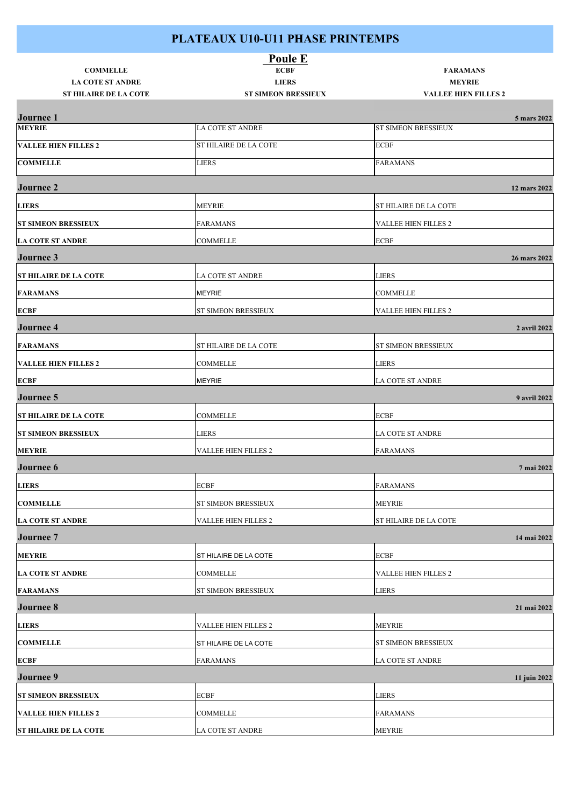| <b>Poule E</b>                                          |                                            |                                              |  |  |
|---------------------------------------------------------|--------------------------------------------|----------------------------------------------|--|--|
| <b>COMMELLE</b>                                         | <b>ECBF</b>                                | <b>FARAMANS</b>                              |  |  |
| <b>LA COTE ST ANDRE</b><br><b>ST HILAIRE DE LA COTE</b> | <b>LIERS</b><br><b>ST SIMEON BRESSIEUX</b> | <b>MEYRIE</b><br><b>VALLEE HIEN FILLES 2</b> |  |  |
|                                                         |                                            |                                              |  |  |
| <b>Journee 1</b><br><b>MEYRIE</b>                       | LA COTE ST ANDRE                           | 5 mars 2022<br>ST SIMEON BRESSIEUX           |  |  |
| <b>VALLEE HIEN FILLES 2</b>                             | ST HILAIRE DE LA COTE                      | <b>ECBF</b>                                  |  |  |
| <b>COMMELLE</b>                                         | <b>LIERS</b>                               | <b>FARAMANS</b>                              |  |  |
| <b>Journee 2</b>                                        |                                            |                                              |  |  |
|                                                         |                                            | 12 mars 2022                                 |  |  |
| <b>LIERS</b>                                            | <b>MEYRIE</b>                              | ST HILAIRE DE LA COTE                        |  |  |
| <b>ST SIMEON BRESSIEUX</b>                              | <b>FARAMANS</b>                            | VALLEE HIEN FILLES 2                         |  |  |
| <b>LA COTE ST ANDRE</b>                                 | <b>COMMELLE</b>                            | <b>ECBF</b>                                  |  |  |
| Journee 3                                               |                                            | 26 mars 2022                                 |  |  |
| <b>ST HILAIRE DE LA COTE</b>                            | LA COTE ST ANDRE                           | <b>LIERS</b>                                 |  |  |
| <b>FARAMANS</b>                                         | <b>MEYRIE</b>                              | <b>COMMELLE</b>                              |  |  |
| <b>ECBF</b>                                             | ST SIMEON BRESSIEUX                        | <b>VALLEE HIEN FILLES 2</b>                  |  |  |
| <b>Journee 4</b>                                        |                                            | 2 avril 2022                                 |  |  |
| <b>FARAMANS</b>                                         | ST HILAIRE DE LA COTE                      | ST SIMEON BRESSIEUX                          |  |  |
| <b>VALLEE HIEN FILLES 2</b>                             | COMMELLE                                   | <b>LIERS</b>                                 |  |  |
| <b>ECBF</b>                                             | <b>MEYRIE</b>                              | LA COTE ST ANDRE                             |  |  |
| <b>Journee 5</b>                                        |                                            | 9 avril 2022                                 |  |  |
| <b>ST HILAIRE DE LA COTE</b>                            | <b>COMMELLE</b>                            | <b>ECBF</b>                                  |  |  |
| <b>ST SIMEON BRESSIEUX</b>                              | LIERS                                      | LA COTE ST ANDRE                             |  |  |
| <b>MEYRIE</b>                                           | <b>VALLEE HIEN FILLES 2</b>                | <b>FARAMANS</b>                              |  |  |
| <b>Journee 6</b>                                        |                                            | 7 mai 2022                                   |  |  |
| <b>LIERS</b>                                            | <b>ECBF</b>                                | <b>FARAMANS</b>                              |  |  |
| <b>COMMELLE</b>                                         | ST SIMEON BRESSIEUX                        | <b>MEYRIE</b>                                |  |  |
| <b>LA COTE ST ANDRE</b>                                 | VALLEE HIEN FILLES 2                       | ST HILAIRE DE LA COTE                        |  |  |
| <b>Journee 7</b>                                        |                                            | 14 mai 2022                                  |  |  |
| <b>MEYRIE</b>                                           | ST HILAIRE DE LA COTE                      | <b>ECBF</b>                                  |  |  |
| <b>LA COTE ST ANDRE</b>                                 | COMMELLE                                   | VALLEE HIEN FILLES 2                         |  |  |
| <b>FARAMANS</b>                                         | ST SIMEON BRESSIEUX                        | <b>LIERS</b>                                 |  |  |
| Journee 8                                               |                                            | 21 mai 2022                                  |  |  |
| <b>LIERS</b>                                            | VALLEE HIEN FILLES 2                       | <b>MEYRIE</b>                                |  |  |
| <b>COMMELLE</b>                                         | ST HILAIRE DE LA COTE                      | ST SIMEON BRESSIEUX                          |  |  |
| <b>ECBF</b>                                             | <b>FARAMANS</b>                            | LA COTE ST ANDRE                             |  |  |
| <b>Journee 9</b>                                        |                                            | 11 juin 2022                                 |  |  |
| <b>ST SIMEON BRESSIEUX</b>                              | <b>ECBF</b>                                | <b>LIERS</b>                                 |  |  |
| <b>VALLEE HIEN FILLES 2</b>                             | <b>COMMELLE</b>                            | <b>FARAMANS</b>                              |  |  |
| <b>ST HILAIRE DE LA COTE</b>                            | LA COTE ST ANDRE                           | <b>MEYRIE</b>                                |  |  |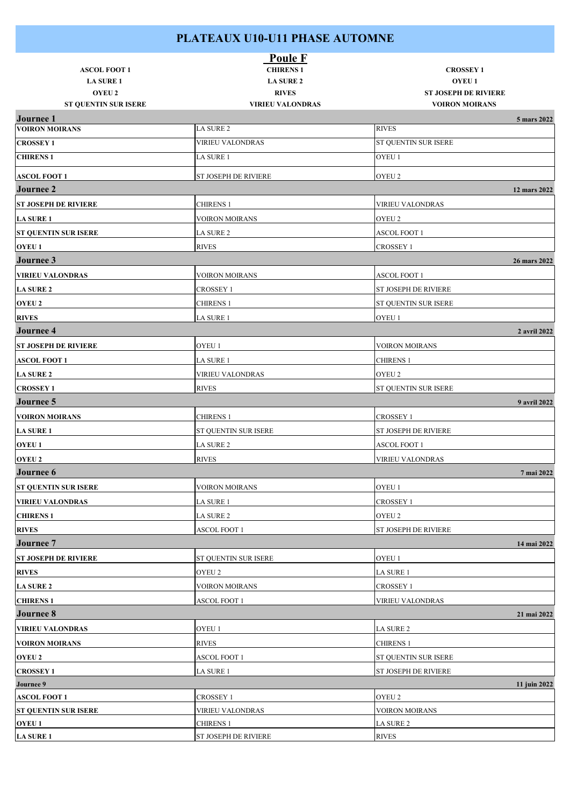#### **PLATEAUX U10-U11 PHASE AUTOMNE**

| <b>ASCOL FOOT 1</b><br><b>LA SURE 1</b> | <b>Poule F</b><br><b>CHIRENS 1</b><br><b>LA SURE 2</b> | <b>CROSSEY 1</b><br><b>OYEU1</b> |
|-----------------------------------------|--------------------------------------------------------|----------------------------------|
| <b>OYEU 2</b>                           | <b>RIVES</b>                                           | <b>ST JOSEPH DE RIVIERE</b>      |
| <b>ST QUENTIN SUR ISERE</b>             | <b>VIRIEU VALONDRAS</b>                                | <b>VOIRON MOIRANS</b>            |
| <b>Journee 1</b>                        |                                                        | 5 mars 2022                      |
| <b>VOIRON MOIRANS</b>                   | LA SURE 2                                              | <b>RIVES</b>                     |
| <b>CROSSEY 1</b>                        | <b>VIRIEU VALONDRAS</b>                                | ST QUENTIN SUR ISERE             |
| <b>CHIRENS 1</b>                        | LA SURE 1                                              | OYEU 1                           |
| <b>ASCOL FOOT 1</b>                     | ST JOSEPH DE RIVIERE                                   | OYEU <sub>2</sub>                |
| <b>Journee 2</b>                        |                                                        | 12 mars 2022                     |
| <b>ST JOSEPH DE RIVIERE</b>             | CHIRENS 1                                              | <b>VIRIEU VALONDRAS</b>          |
| <b>LA SURE 1</b>                        | <b>VOIRON MOIRANS</b>                                  | OYEU 2                           |
| <b>ST QUENTIN SUR ISERE</b>             | LA SURE 2                                              | <b>ASCOL FOOT 1</b>              |
| <b>OYEU1</b>                            | <b>RIVES</b>                                           | <b>CROSSEY 1</b>                 |
| Journee 3                               |                                                        | 26 mars 2022                     |
| <b>VIRIEU VALONDRAS</b>                 | <b>VOIRON MOIRANS</b>                                  | <b>ASCOL FOOT 1</b>              |
| <b>LA SURE 2</b>                        | CROSSEY 1                                              | ST JOSEPH DE RIVIERE             |
| <b>OYEU 2</b>                           | <b>CHIRENS 1</b>                                       | ST QUENTIN SUR ISERE             |
| <b>RIVES</b>                            | LA SURE 1                                              | OYEU 1                           |
| <b>Journee 4</b>                        |                                                        | 2 avril 2022                     |
| <b>ST JOSEPH DE RIVIERE</b>             | OYEU 1                                                 | <b>VOIRON MOIRANS</b>            |
| <b>ASCOL FOOT 1</b>                     | LA SURE 1                                              | <b>CHIRENS 1</b>                 |
| <b>LA SURE 2</b>                        | VIRIEU VALONDRAS                                       | OYEU 2                           |
| <b>CROSSEY 1</b>                        | <b>RIVES</b>                                           | ST QUENTIN SUR ISERE             |
| <b>Journee 5</b>                        |                                                        | 9 avril 2022                     |
| <b>VOIRON MOIRANS</b>                   | CHIRENS 1                                              | <b>CROSSEY 1</b>                 |
| <b>LA SURE 1</b>                        | ST QUENTIN SUR ISERE                                   | ST JOSEPH DE RIVIERE             |
| OYEU 1                                  | LA SURE 2                                              | ASCOL FOOT 1                     |
| <b>OYEU 2</b>                           | <b>RIVES</b>                                           | <b>VIRIEU VALONDRAS</b>          |
| <b>Journee 6</b>                        |                                                        | 7 mai 2022                       |
| ST QUENTIN SUR ISERE                    | <b>VOIRON MOIRANS</b>                                  | OYEU 1                           |
| <b>VIRIEU VALONDRAS</b>                 | LA SURE 1                                              | <b>CROSSEY 1</b>                 |
| <b>CHIRENS 1</b>                        | LA SURE 2                                              | OYEU 2                           |
| <b>RIVES</b>                            | <b>ASCOL FOOT 1</b>                                    | <b>ST JOSEPH DE RIVIERE</b>      |
| <b>Journee 7</b>                        |                                                        | 14 mai 2022                      |
| <b>ST JOSEPH DE RIVIERE</b>             | ST QUENTIN SUR ISERE                                   | OYEU 1                           |
| <b>RIVES</b>                            | OYEU 2                                                 | LA SURE 1                        |
| <b>LA SURE 2</b>                        | <b>VOIRON MOIRANS</b>                                  | <b>CROSSEY 1</b>                 |
| <b>CHIRENS 1</b>                        | ASCOL FOOT 1                                           | <b>VIRIEU VALONDRAS</b>          |
| <b>Journee 8</b>                        |                                                        | 21 mai 2022                      |
| <b>VIRIEU VALONDRAS</b>                 | OYEU 1                                                 | LA SURE 2                        |
| <b>VOIRON MOIRANS</b>                   | <b>RIVES</b>                                           | <b>CHIRENS 1</b>                 |
| <b>OYEU 2</b>                           | ASCOL FOOT 1                                           | ST QUENTIN SUR ISERE             |
| <b>CROSSEY 1</b>                        | LA SURE 1                                              | ST JOSEPH DE RIVIERE             |
| Journee 9                               |                                                        | 11 juin 2022                     |
| <b>ASCOL FOOT 1</b>                     | CROSSEY 1                                              | OYEU 2                           |
| <b>ST QUENTIN SUR ISERE</b>             | VIRIEU VALONDRAS                                       | <b>VOIRON MOIRANS</b>            |
| <b>OYEU1</b>                            | <b>CHIRENS 1</b>                                       | LA SURE 2                        |
| <b>LA SURE 1</b>                        | ST JOSEPH DE RIVIERE                                   | <b>RIVES</b>                     |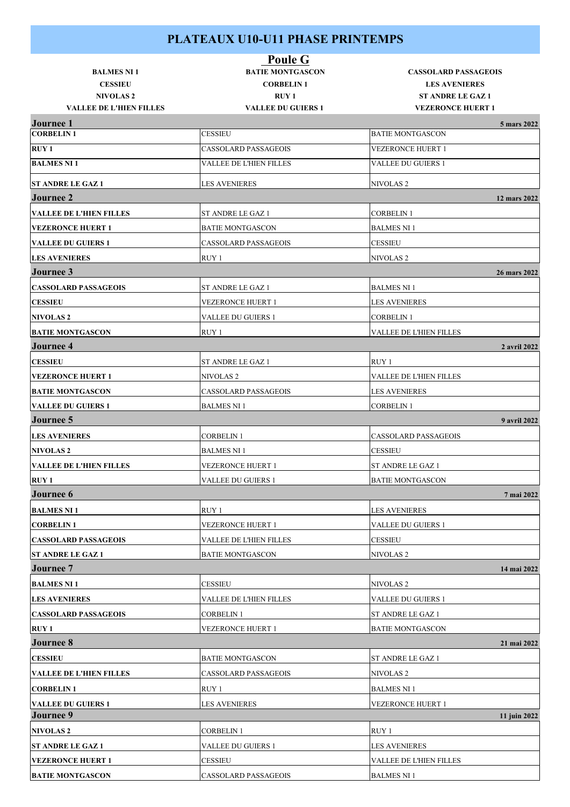| <b>BALMES NI 1</b>                                | <b>Poule G</b><br><b>BATIE MONTGASCON</b> | <b>CASSOLARD PASSAGEOIS</b>                          |
|---------------------------------------------------|-------------------------------------------|------------------------------------------------------|
| <b>CESSIEU</b>                                    | <b>CORBELIN1</b><br>$RUY_1$               | <b>LES AVENIERES</b>                                 |
| <b>NIVOLAS2</b><br><b>VALLEE DE L'HIEN FILLES</b> | <b>VALLEE DU GUIERS 1</b>                 | <b>ST ANDRE LE GAZ 1</b><br><b>VEZERONCE HUERT 1</b> |
| <b>Journee 1</b>                                  |                                           | 5 mars 2022                                          |
| <b>CORBELIN1</b>                                  | <b>CESSIEU</b>                            | <b>BATIE MONTGASCON</b>                              |
| <b>RUY1</b>                                       | <b>CASSOLARD PASSAGEOIS</b>               | <b>VEZERONCE HUERT 1</b>                             |
| <b>BALMES NI 1</b>                                | VALLEE DE L'HIEN FILLES                   | VALLEE DU GUIERS 1                                   |
| <b>ST ANDRE LE GAZ 1</b>                          | <b>LES AVENIERES</b>                      | <b>NIVOLAS2</b>                                      |
| <b>Journee 2</b>                                  |                                           | 12 mars 2022                                         |
| <b>VALLEE DE L'HIEN FILLES</b>                    | ST ANDRE LE GAZ 1                         | <b>CORBELIN1</b>                                     |
| <b>VEZERONCE HUERT 1</b>                          | <b>BATIE MONTGASCON</b>                   | <b>BALMES NI 1</b>                                   |
| <b>VALLEE DU GUIERS 1</b>                         | <b>CASSOLARD PASSAGEOIS</b>               | <b>CESSIEU</b>                                       |
| <b>LES AVENIERES</b>                              | RUY 1                                     | <b>NIVOLAS2</b>                                      |
| <b>Journee 3</b>                                  |                                           | 26 mars 2022                                         |
| <b>CASSOLARD PASSAGEOIS</b>                       | ST ANDRE LE GAZ 1                         | <b>BALMES NI 1</b>                                   |
| <b>CESSIEU</b>                                    | VEZERONCE HUERT 1                         | <b>LES AVENIERES</b>                                 |
| <b>NIVOLAS2</b>                                   | <b>VALLEE DU GUIERS 1</b>                 | <b>CORBELIN1</b>                                     |
| <b>BATIE MONTGASCON</b>                           | RUY 1                                     | VALLEE DE L'HIEN FILLES                              |
| <b>Journee 4</b>                                  |                                           | 2 avril 2022                                         |
| <b>CESSIEU</b>                                    | ST ANDRE LE GAZ 1                         | RUY 1                                                |
| <b>VEZERONCE HUERT 1</b>                          | NIVOLAS <sub>2</sub>                      | VALLEE DE L'HIEN FILLES                              |
| <b>BATIE MONTGASCON</b>                           | <b>CASSOLARD PASSAGEOIS</b>               | <b>LES AVENIERES</b>                                 |
| <b>VALLEE DU GUIERS 1</b>                         | <b>BALMES NI 1</b>                        | <b>CORBELIN 1</b>                                    |
| <b>Journee 5</b>                                  |                                           | 9 avril 2022                                         |
| <b>LES AVENIERES</b>                              | <b>CORBELIN1</b>                          | <b>CASSOLARD PASSAGEOIS</b>                          |
| <b>NIVOLAS2</b>                                   | <b>BALMES NI 1</b>                        | <b>CESSIEU</b>                                       |
| <b>VALLEE DE L'HIEN FILLES</b>                    | VEZERONCE HUERT 1                         | <b>ST ANDRE LE GAZ 1</b>                             |
| <b>RUY 1</b>                                      | <b>VALLEE DU GUIERS 1</b>                 | <b>BATIE MONTGASCON</b>                              |
| Journee 6                                         |                                           | 7 mai 2022                                           |
| <b>BALMES NI1</b>                                 | RUY 1                                     | <b>LES AVENIERES</b>                                 |
| <b>CORBELIN1</b>                                  | VEZERONCE HUERT 1                         | <b>VALLEE DU GUIERS 1</b>                            |
| <b>CASSOLARD PASSAGEOIS</b>                       | VALLEE DE L'HIEN FILLES                   | <b>CESSIEU</b>                                       |
| <b>ST ANDRE LE GAZ 1</b>                          | <b>BATIE MONTGASCON</b>                   | <b>NIVOLAS2</b>                                      |
| <b>Journee</b> 7                                  |                                           | 14 mai 2022                                          |
| <b>BALMES NI 1</b>                                | <b>CESSIEU</b>                            | NIVOLAS <sub>2</sub>                                 |
| <b>LES AVENIERES</b>                              | VALLEE DE L'HIEN FILLES                   | VALLEE DU GUIERS 1                                   |
| <b>CASSOLARD PASSAGEOIS</b>                       | <b>CORBELIN1</b>                          | ST ANDRE LE GAZ 1                                    |
| <b>RUY 1</b>                                      | VEZERONCE HUERT 1                         | <b>BATIE MONTGASCON</b>                              |
| Journee 8                                         |                                           | 21 mai 2022                                          |
| <b>CESSIEU</b>                                    | <b>BATIE MONTGASCON</b>                   | ST ANDRE LE GAZ 1                                    |
| <b>VALLEE DE L'HIEN FILLES</b>                    | CASSOLARD PASSAGEOIS                      | <b>NIVOLAS2</b>                                      |
| <b>CORBELIN1</b>                                  | RUY 1                                     | <b>BALMES NI 1</b>                                   |
| <b>VALLEE DU GUIERS 1</b>                         | <b>LES AVENIERES</b>                      | <b>VEZERONCE HUERT 1</b>                             |
| <b>Journee 9</b>                                  |                                           | 11 juin 2022                                         |
| <b>NIVOLAS2</b>                                   | <b>CORBELIN1</b>                          | RUY 1                                                |
| <b>ST ANDRE LE GAZ 1</b>                          | VALLEE DU GUIERS 1                        | <b>LES AVENIERES</b>                                 |
| <b>VEZERONCE HUERT 1</b>                          | CESSIEU                                   | VALLEE DE L'HIEN FILLES                              |
| <b>BATIE MONTGASCON</b>                           | CASSOLARD PASSAGEOIS                      | <b>BALMES NI 1</b>                                   |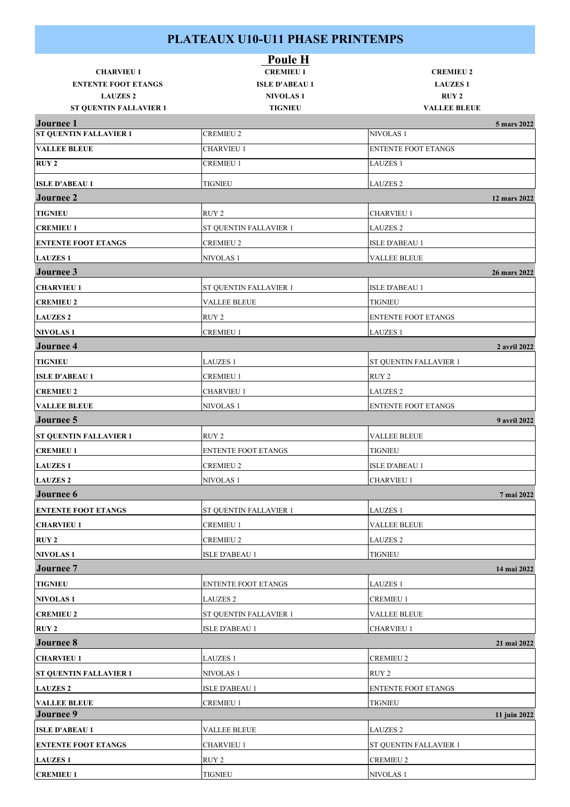|                                               | Poule H                           |                                    |              |
|-----------------------------------------------|-----------------------------------|------------------------------------|--------------|
| <b>CHARVIEU 1</b>                             | <b>CREMIEU 1</b>                  | <b>CREMIEU 2</b>                   |              |
| <b>ENTENTE FOOT ETANGS</b><br><b>LAUZES 2</b> | <b>ISLE D'ABEAU 1</b>             | <b>LAUZES1</b><br>RUY <sub>2</sub> |              |
| <b>ST QUENTIN FALLAVIER 1</b>                 | <b>NIVOLAS1</b><br><b>TIGNIEU</b> | <b>VALLEE BLEUE</b>                |              |
| <b>Journee 1</b>                              |                                   |                                    | 5 mars 2022  |
| <b>ST QUENTIN FALLAVIER 1</b>                 | <b>CREMIEU 2</b>                  | <b>NIVOLAS1</b>                    |              |
| <b>VALLEE BLEUE</b>                           | <b>CHARVIEU 1</b>                 | <b>ENTENTE FOOT ETANGS</b>         |              |
| <b>RUY 2</b>                                  | <b>CREMIEU 1</b>                  | <b>LAUZES 1</b>                    |              |
| <b>ISLE D'ABEAU 1</b>                         | <b>TIGNIEU</b>                    | <b>LAUZES 2</b>                    |              |
| <b>Journee 2</b>                              |                                   |                                    | 12 mars 2022 |
| <b>TIGNIEU</b>                                | RUY <sub>2</sub>                  | <b>CHARVIEU 1</b>                  |              |
| <b>CREMIEU 1</b>                              | ST QUENTIN FALLAVIER 1            | <b>LAUZES 2</b>                    |              |
| <b>ENTENTE FOOT ETANGS</b>                    | <b>CREMIEU 2</b>                  | <b>ISLE D'ABEAU 1</b>              |              |
| <b>LAUZES1</b>                                | NIVOLAS <sub>1</sub>              | <b>VALLEE BLEUE</b>                |              |
| Journee 3                                     |                                   |                                    | 26 mars 2022 |
| <b>CHARVIEU 1</b>                             | ST QUENTIN FALLAVIER 1            | <b>ISLE D'ABEAU 1</b>              |              |
| <b>CREMIEU 2</b>                              | <b>VALLEE BLEUE</b>               | <b>TIGNIEU</b>                     |              |
| <b>LAUZES 2</b>                               | RUY <sub>2</sub>                  | <b>ENTENTE FOOT ETANGS</b>         |              |
| <b>NIVOLAS1</b>                               | <b>CREMIEU 1</b>                  | <b>LAUZES 1</b>                    |              |
| <b>Journee 4</b>                              |                                   |                                    | 2 avril 2022 |
| <b>TIGNIEU</b>                                | <b>LAUZES 1</b>                   | ST QUENTIN FALLAVIER 1             |              |
| <b>ISLE D'ABEAU 1</b>                         | <b>CREMIEU 1</b>                  | RUY 2                              |              |
| <b>CREMIEU 2</b>                              | <b>CHARVIEU 1</b>                 | <b>LAUZES 2</b>                    |              |
| <b>VALLEE BLEUE</b>                           | NIVOLAS <sub>1</sub>              | <b>ENTENTE FOOT ETANGS</b>         |              |
| <b>Journee 5</b>                              |                                   |                                    | 9 avril 2022 |
| <b>ST QUENTIN FALLAVIER 1</b>                 | RUY <sub>2</sub>                  | <b>VALLEE BLEUE</b>                |              |
| <b>CREMIEU 1</b>                              | <b>ENTENTE FOOT ETANGS</b>        | <b>TIGNIEU</b>                     |              |
| <b>LAUZES1</b>                                | <b>CREMIEU 2</b>                  | <b>ISLE D'ABEAU 1</b>              |              |
| <b>LAUZES 2</b>                               | <b>NIVOLAS1</b>                   | <b>CHARVIEU 1</b>                  |              |
| Journee 6                                     |                                   |                                    | 7 mai 2022   |
| <b>ENTENTE FOOT ETANGS</b>                    | ST QUENTIN FALLAVIER 1            | <b>LAUZES 1</b>                    |              |
| <b>CHARVIEU 1</b>                             | <b>CREMIEU 1</b>                  | <b>VALLEE BLEUE</b>                |              |
| <b>RUY 2</b>                                  | <b>CREMIEU 2</b>                  | <b>LAUZES 2</b>                    |              |
| <b>NIVOLAS1</b>                               | <b>ISLE D'ABEAU 1</b>             | <b>TIGNIEU</b>                     |              |
| <b>Journee 7</b>                              |                                   |                                    | 14 mai 2022  |
| <b>TIGNIEU</b>                                | <b>ENTENTE FOOT ETANGS</b>        | <b>LAUZES 1</b>                    |              |
| <b>NIVOLAS1</b>                               | <b>LAUZES 2</b>                   | <b>CREMIEU 1</b>                   |              |
| <b>CREMIEU 2</b>                              | ST QUENTIN FALLAVIER 1            | <b>VALLEE BLEUE</b>                |              |
| <b>RUY 2</b>                                  | <b>ISLE D'ABEAU 1</b>             | <b>CHARVIEU 1</b>                  |              |
| <b>Journee 8</b>                              |                                   |                                    | 21 mai 2022  |
| <b>CHARVIEU 1</b>                             | <b>LAUZES 1</b>                   | <b>CREMIEU 2</b>                   |              |
| <b>ST QUENTIN FALLAVIER 1</b>                 | NIVOLAS <sub>1</sub>              | RUY 2                              |              |
| <b>LAUZES 2</b>                               | <b>ISLE D'ABEAU 1</b>             | <b>ENTENTE FOOT ETANGS</b>         |              |
| <b>VALLEE BLEUE</b>                           | <b>CREMIEU 1</b>                  | <b>TIGNIEU</b>                     |              |
| Journee 9                                     |                                   |                                    | 11 juin 2022 |
| <b>ISLE D'ABEAU 1</b>                         | <b>VALLEE BLEUE</b>               | <b>LAUZES 2</b>                    |              |
| <b>ENTENTE FOOT ETANGS</b>                    | <b>CHARVIEU 1</b>                 | ST QUENTIN FALLAVIER 1             |              |
| <b>LAUZES1</b>                                | RUY <sub>2</sub>                  | <b>CREMIEU 2</b>                   |              |
| <b>CREMIEU 1</b>                              | <b>TIGNIEU</b>                    | NIVOLAS 1                          |              |